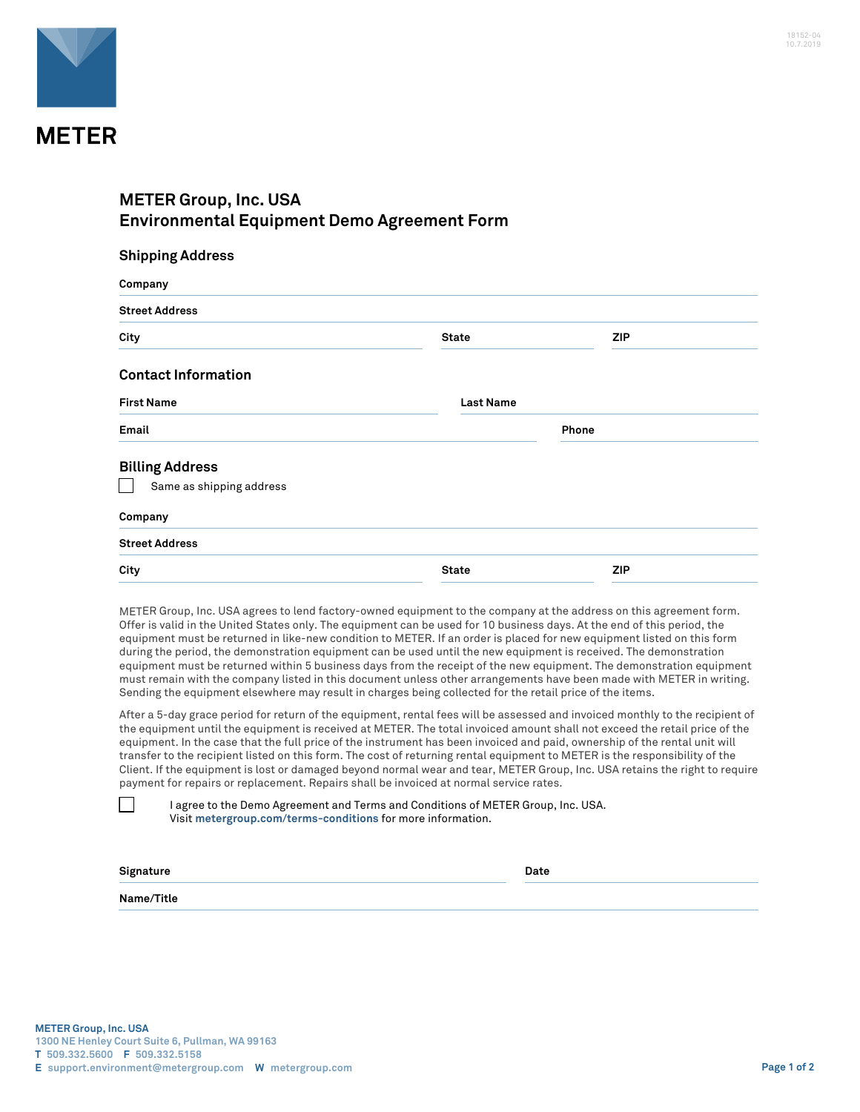

## **METER Group, Inc. USA Environmental Equipment Demo Agreement Form**

| <b>Street Address</b>      |                  |            |
|----------------------------|------------------|------------|
| City                       | <b>State</b>     | <b>ZIP</b> |
| <b>Contact Information</b> |                  |            |
| <b>First Name</b>          | <b>Last Name</b> |            |
| Email                      |                  | Phone      |
| <b>Billing Address</b>     |                  |            |
| Same as shipping address   |                  |            |
| Company                    |                  |            |
| <b>Street Address</b>      |                  |            |
| City                       | <b>State</b>     | <b>ZIP</b> |

METER Group, Inc. USA agrees to lend factory-owned equipment to the company at the address on this agreement form. Offer is valid in the United States only. The equipment can be used for 10 business days. At the end of this period, the equipment must be returned in like-new condition to METER. If an order is placed for new equipment listed on this form during the period, the demonstration equipment can be used until the new equipment is received. The demonstration equipment must be returned within 5 business days from the receipt of the new equipment. The demonstration equipment must remain with the company listed in this document unless other arrangements have been made with METER in writing. Sending the equipment elsewhere may result in charges being collected for the retail price of the items.

After a 5-day grace period for return of the equipment, rental fees will be assessed and invoiced monthly to the recipient of the equipment until the equipment is received at METER. The total invoiced amount shall not exceed the retail price of the equipment. In the case that the full price of the instrument has been invoiced and paid, ownership of the rental unit will transfer to the recipient listed on this form. The cost of returning rental equipment to METER is the responsibility of the Client. If the equipment is lost or damaged beyond normal wear and tear, METER Group, Inc. USA retains the right to require payment for repairs or replacement. Repairs shall be invoiced at normal service rates.

I agree to the Demo Agreement and Terms and Conditions of METER Group, Inc. USA. Visit **[metergroup.com/terms-conditions](https://www.metergroup.com/terms-conditions)** for more information.

| Signature  | Date |  |
|------------|------|--|
| Name/Title |      |  |